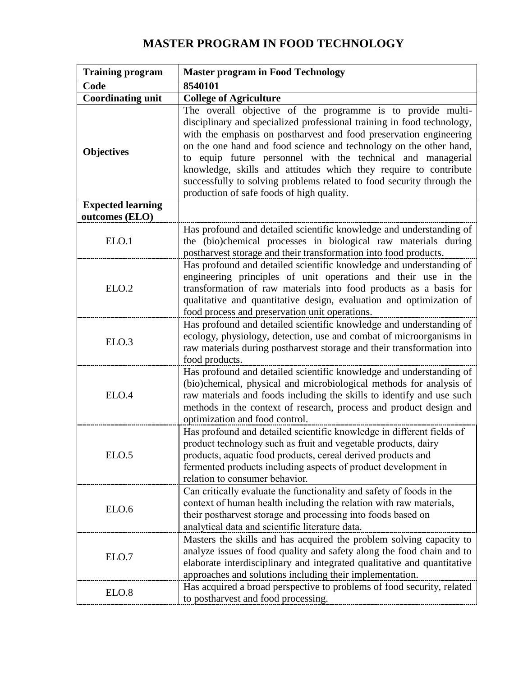## **MASTER PROGRAM IN FOOD TECHNOLOGY**

| <b>Training program</b>                    | <b>Master program in Food Technology</b>                                                                                                                                                                                                                                                                                                                                                                                                                                                                                                      |  |  |  |
|--------------------------------------------|-----------------------------------------------------------------------------------------------------------------------------------------------------------------------------------------------------------------------------------------------------------------------------------------------------------------------------------------------------------------------------------------------------------------------------------------------------------------------------------------------------------------------------------------------|--|--|--|
| Code                                       | 8540101                                                                                                                                                                                                                                                                                                                                                                                                                                                                                                                                       |  |  |  |
| <b>Coordinating unit</b>                   | <b>College of Agriculture</b>                                                                                                                                                                                                                                                                                                                                                                                                                                                                                                                 |  |  |  |
| <b>Objectives</b>                          | The overall objective of the programme is to provide multi-<br>disciplinary and specialized professional training in food technology,<br>with the emphasis on postharvest and food preservation engineering<br>on the one hand and food science and technology on the other hand,<br>equip future personnel with the technical and managerial<br>to<br>knowledge, skills and attitudes which they require to contribute<br>successfully to solving problems related to food security through the<br>production of safe foods of high quality. |  |  |  |
| <b>Expected learning</b><br>outcomes (ELO) |                                                                                                                                                                                                                                                                                                                                                                                                                                                                                                                                               |  |  |  |
| ELO.1                                      | Has profound and detailed scientific knowledge and understanding of<br>the (bio)chemical processes in biological raw materials during<br>postharvest storage and their transformation into food products.                                                                                                                                                                                                                                                                                                                                     |  |  |  |
| ELO.2                                      | Has profound and detailed scientific knowledge and understanding of<br>engineering principles of unit operations and their use in the<br>transformation of raw materials into food products as a basis for<br>qualitative and quantitative design, evaluation and optimization of<br>food process and preservation unit operations.                                                                                                                                                                                                           |  |  |  |
| ELO.3                                      | Has profound and detailed scientific knowledge and understanding of<br>ecology, physiology, detection, use and combat of microorganisms in<br>raw materials during postharvest storage and their transformation into<br>food products.                                                                                                                                                                                                                                                                                                        |  |  |  |
| ELO.4                                      | Has profound and detailed scientific knowledge and understanding of<br>(bio)chemical, physical and microbiological methods for analysis of<br>raw materials and foods including the skills to identify and use such<br>methods in the context of research, process and product design and<br>optimization and food control.                                                                                                                                                                                                                   |  |  |  |
| ELO.5                                      | Has profound and detailed scientific knowledge in different fields of<br>product technology such as fruit and vegetable products, dairy<br>products, aquatic food products, cereal derived products and<br>fermented products including aspects of product development in<br>relation to consumer behavior.                                                                                                                                                                                                                                   |  |  |  |
| ELO.6                                      | Can critically evaluate the functionality and safety of foods in the<br>context of human health including the relation with raw materials,<br>their postharvest storage and processing into foods based on<br>analytical data and scientific literature data.                                                                                                                                                                                                                                                                                 |  |  |  |
| ELO.7                                      | Masters the skills and has acquired the problem solving capacity to<br>analyze issues of food quality and safety along the food chain and to<br>elaborate interdisciplinary and integrated qualitative and quantitative<br>approaches and solutions including their implementation.                                                                                                                                                                                                                                                           |  |  |  |
| ELO.8                                      | Has acquired a broad perspective to problems of food security, related<br>to postharvest and food processing.                                                                                                                                                                                                                                                                                                                                                                                                                                 |  |  |  |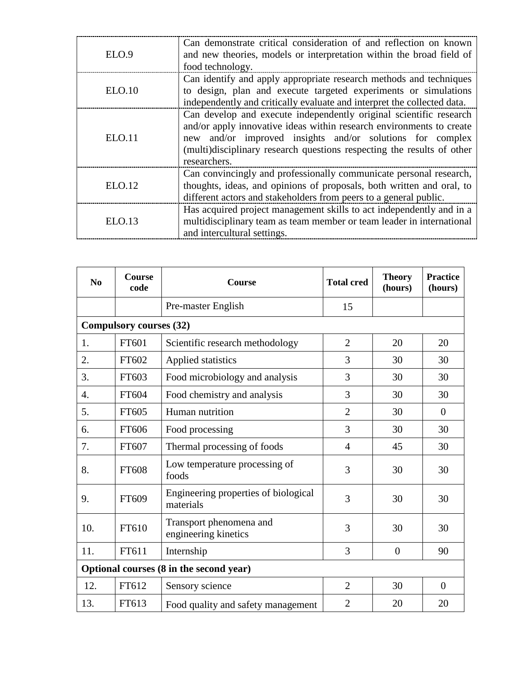| ELO.9  | Can demonstrate critical consideration of and reflection on known<br>and new theories, models or interpretation within the broad field of<br>food technology.                                                                                                                                     |
|--------|---------------------------------------------------------------------------------------------------------------------------------------------------------------------------------------------------------------------------------------------------------------------------------------------------|
| ELO.10 | Can identify and apply appropriate research methods and techniques<br>to design, plan and execute targeted experiments or simulations<br>independently and critically evaluate and interpret the collected data.                                                                                  |
| ELO.11 | Can develop and execute independently original scientific research<br>and/or apply innovative ideas within research environments to create<br>new and/or improved insights and/or solutions for complex<br>(multi)disciplinary research questions respecting the results of other<br>researchers. |
| ELO.12 | Can convincingly and professionally communicate personal research,<br>thoughts, ideas, and opinions of proposals, both written and oral, to<br>different actors and stakeholders from peers to a general public.                                                                                  |
| ELO.13 | Has acquired project management skills to act independently and in a<br>multidisciplinary team as team member or team leader in international<br>and intercultural settings.                                                                                                                      |

| $\bf No$                                | <b>Course</b><br>code | <b>Course</b>                                     | <b>Total cred</b> | <b>Theory</b><br>(hours) | <b>Practice</b><br>(hours) |  |  |
|-----------------------------------------|-----------------------|---------------------------------------------------|-------------------|--------------------------|----------------------------|--|--|
|                                         |                       | Pre-master English                                | 15                |                          |                            |  |  |
| <b>Compulsory courses (32)</b>          |                       |                                                   |                   |                          |                            |  |  |
| 1.                                      | FT601                 | Scientific research methodology                   | $\overline{2}$    | 20                       | 20                         |  |  |
| 2.                                      | FT602                 | Applied statistics                                | 3                 | 30                       | 30                         |  |  |
| 3.                                      | FT603                 | Food microbiology and analysis                    | 3                 | 30                       | 30                         |  |  |
| 4.                                      | FT604                 | Food chemistry and analysis                       | 3                 | 30                       | 30                         |  |  |
| 5.                                      | FT605                 | Human nutrition                                   | $\overline{2}$    | 30                       | $\overline{0}$             |  |  |
| 6.                                      | FT606                 | Food processing                                   | 3                 | 30                       | 30                         |  |  |
| 7.                                      | FT607                 | Thermal processing of foods                       | 4                 | 45                       | 30                         |  |  |
| 8.                                      | FT608                 | Low temperature processing of<br>foods            | 3                 | 30                       | 30                         |  |  |
| 9.                                      | FT609                 | Engineering properties of biological<br>materials | 3                 | 30                       | 30                         |  |  |
| 10.                                     | FT610                 | Transport phenomena and<br>engineering kinetics   | 3                 | 30                       | 30                         |  |  |
| 11.                                     | FT611                 | Internship                                        | 3                 | $\overline{0}$           | 90                         |  |  |
| Optional courses (8 in the second year) |                       |                                                   |                   |                          |                            |  |  |
| 12.                                     | FT612                 | Sensory science                                   | $\overline{2}$    | 30                       | $\overline{0}$             |  |  |
| 13.                                     | FT613                 | Food quality and safety management                | $\overline{2}$    | 20                       | 20                         |  |  |